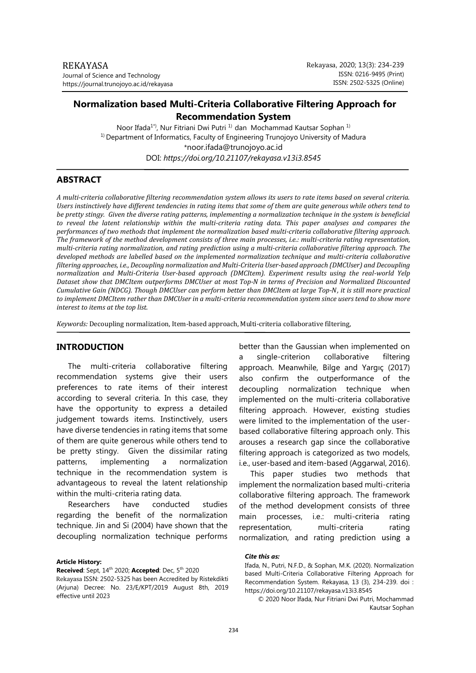# **Normalization based Multi-Criteria Collaborative Filtering Approach for Recommendation System**

Noor Ifada<sup>1\*)</sup>, Nur Fitriani Dwi Putri <sup>1)</sup> dan Mochammad Kautsar Sophan <sup>1)</sup> <sup>1)</sup> Department of Informatics, Faculty of Engineering Trunojoyo University of Madura \*noor.ifada@trunojoyo.ac.id DOI: *https://doi.org/10.21107/rekayasa.v13i3.8545*

## **ABSTRACT**

*A multi-criteria collaborative filtering recommendation system allows its users to rate items based on several criteria. Users instinctively have different tendencies in rating items that some of them are quite generous while others tend to be pretty stingy. Given the diverse rating patterns, implementing a normalization technique in the system is beneficial*  to reveal the latent relationship within the multi-criteria rating data. This paper analyses and compares the *performances of two methods that implement the normalization based multi-criteria collaborative filtering approach. The framework of the method development consists of three main processes, i.e.: multi-criteria rating representation, multi-criteria rating normalization, and rating prediction using a multi-criteria collaborative filtering approach. The developed methods are labelled based on the implemented normalization technique and multi-criteria collaborative filtering approaches, i.e., Decoupling normalization and Multi-Criteria User-based approach (DMCUser) and Decoupling normalization and Multi-Criteria User-based approach (DMCItem). Experiment results using the real-world Yelp Dataset show that DMCItem outperforms DMCUser at most Top- in terms of Precision and Normalized Discounted Cumulative Gain (NDCG). Though DMCUser can perform better than DMCItem at large Top-, it is still more practical to implement DMCItem rather than DMCUser in a multi-criteria recommendation system since users tend to show more interest to items at the top list.*

*Keywords:* Decoupling normalization, Item-based approach, Multi-criteria collaborative filtering,

### **INTRODUCTION**

The multi-criteria collaborative filtering recommendation systems give their users preferences to rate items of their interest according to several criteria. In this case, they have the opportunity to express a detailed judgement towards items. Instinctively, users have diverse tendencies in rating items that some of them are quite generous while others tend to be pretty stingy. Given the dissimilar rating patterns, implementing a normalization technique in the recommendation system is advantageous to reveal the latent relationship within the multi-criteria rating data.

Researchers have conducted studies regarding the benefit of the normalization technique. Jin and Si (2004) have shown that the decoupling normalization technique performs

**Article History:** 

**Received**: Sept, 14th 2020; **Accepted**: Dec, 5th 2020 Rekayasa ISSN: 2502-5325 has been Accredited by Ristekdikti (Arjuna) Decree: No. 23/E/KPT/2019 August 8th, 2019 effective until 2023

better than the Gaussian when implemented on a single-criterion collaborative filtering approach. Meanwhile, Bilge and Yargıç (2017) also confirm the outperformance of the decoupling normalization technique when implemented on the multi-criteria collaborative filtering approach. However, existing studies were limited to the implementation of the userbased collaborative filtering approach only. This arouses a research gap since the collaborative filtering approach is categorized as two models, i.e., user-based and item-based (Aggarwal, 2016).

This paper studies two methods that implement the normalization based multi-criteria collaborative filtering approach. The framework of the method development consists of three main processes, i.e.: multi-criteria rating representation, multi-criteria rating normalization, and rating prediction using a

#### *Cite this as:*

Ifada, N., Putri, N.F.D., & Sophan, M.K. (2020). Normalization based Multi-Criteria Collaborative Filtering Approach for Recommendation System. Rekayasa, 13 (3), 234-239. doi : https://doi.org/10.21107/rekayasa.v13i3.8545

<sup>© 2020</sup> Noor Ifada, Nur Fitriani Dwi Putri, Mochammad Kautsar Sophan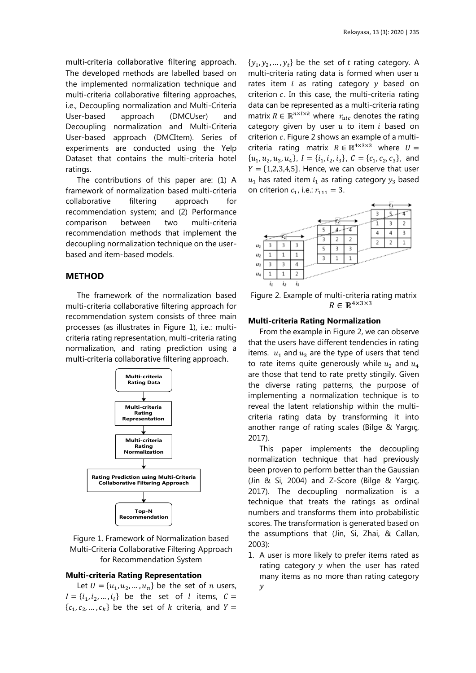multi-criteria collaborative filtering approach. The developed methods are labelled based on the implemented normalization technique and multi-criteria collaborative filtering approaches, i.e., Decoupling normalization and Multi-Criteria User-based approach (DMCUser) and Decoupling normalization and Multi-Criteria User-based approach (DMCItem). Series of experiments are conducted using the Yelp Dataset that contains the multi-criteria hotel ratings.

The contributions of this paper are: (1) A framework of normalization based multi-criteria collaborative filtering approach for recommendation system; and (2) Performance comparison between two multi-criteria recommendation methods that implement the decoupling normalization technique on the userbased and item-based models.

## **METHOD**

The framework of the normalization based multi-criteria collaborative filtering approach for recommendation system consists of three main processes (as illustrates in [Figure 1\)](#page-1-0), i.e.: multicriteria rating representation, multi-criteria rating normalization, and rating prediction using a multi-criteria collaborative filtering approach.



<span id="page-1-0"></span>

#### **Multi-criteria Rating Representation**

Let  $U = \{u_1, u_2, ..., u_n\}$  be the set of *n* users,  $I = \{i_1, i_2, \ldots, i_l\}$  be the set of *l* items,  $C =$  $\{c_1, c_2, ..., c_k\}$  be the set of k criteria, and  $Y =$ 

 $\{y_1, y_2, ..., y_t\}$  be the set of t rating category. A multi-criteria rating data is formed when user  $u$ rates item  $i$  as rating category  $y$  based on criterion  $c$ . In this case, the multi-criteria rating data can be represented as a multi-criteria rating matrix  $R \in \mathbb{R}^{n \times l \times k}$  where  $r_{uic}$  denotes the rating category given by user  $u$  to item  $i$  based on criterion  $c$ . [Figure 2](#page-1-1) shows an example of a multicriteria rating matrix  $R \in \mathbb{R}^{4 \times 3 \times 3}$  where  $U =$  $\{u_1, u_2, u_3, u_4\}, I = \{i_1, i_2, i_3\}, C = \{c_1, c_2, c_3\},$  and  $Y = \{1,2,3,4,5\}$ . Hence, we can observe that user  $u_1$  has rated item  $i_1$  as rating category  $y_3$  based on criterion  $c_1$ , i.e.:  $r_{111} = 3$ .



<span id="page-1-1"></span>Figure 2. Example of multi-criteria rating matrix  $R \in \mathbb{R}^{4 \times 3 \times 3}$ 

#### **Multi-criteria Rating Normalization**

From the example in [Figure 2,](#page-1-1) we can observe that the users have different tendencies in rating items.  $u_1$  and  $u_3$  are the type of users that tend to rate items quite generously while  $u_2$  and  $u_4$ are those that tend to rate pretty stingily. Given the diverse rating patterns, the purpose of implementing a normalization technique is to reveal the latent relationship within the multicriteria rating data by transforming it into another range of rating scales (Bilge & Yargıç, 2017).

This paper implements the decoupling normalization technique that had previously been proven to perform better than the Gaussian (Jin & Si, 2004) and Z-Score (Bilge & Yargıç, 2017). The decoupling normalization is a technique that treats the ratings as ordinal numbers and transforms them into probabilistic scores. The transformation is generated based on the assumptions that (Jin, Si, Zhai, & Callan, 2003):

1. A user is more likely to prefer items rated as rating category  $y$  when the user has rated many items as no more than rating category  $\mathcal{V}$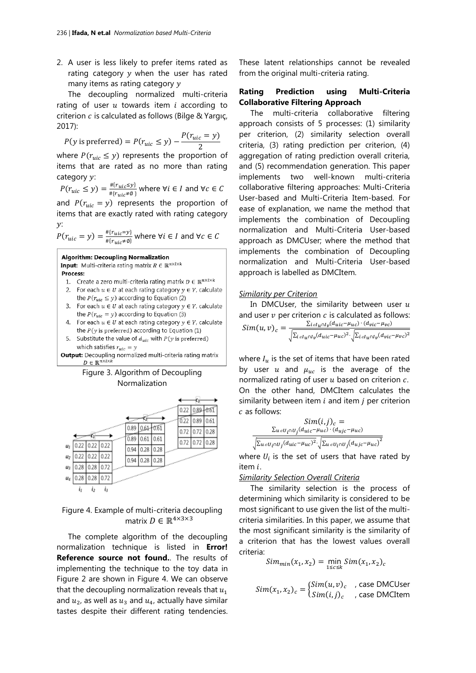2. A user is less likely to prefer items rated as rating category  $y$  when the user has rated many items as rating category  $y$ 

The decoupling normalized multi-criteria rating of user  $u$  towards item  $i$  according to criterion  $c$  is calculated as follows (Bilge & Yargıç, 2017):

 $P(y \text{ is preferred}) = P(r_{uic} \le y) - \frac{P(r_{uic} = y)}{2}$ 2

where  $P(r_{\text{uic}} \leq y)$  represents the proportion of items that are rated as no more than rating category  $y$ :

 $P(r_{uic} \le y) = \frac{\# \{r_{uic} \le y\}}{\# \{r_{uic} \neq \emptyset\}}$  $\frac{\# \{r_{\text{u}ic} \neq y\}}{\# \{r_{\text{u}ic} \neq \emptyset\}}$  where  $\forall i \in I$  and  $\forall c \in C$ and  $P(r_{\text{uic}} = y)$  represents the proportion of items that are exactly rated with rating category  $\mathcal{V}$ :

$$
P(r_{uic} = y) = \frac{\# \{r_{uic} = y\}}{\# \{r_{uic} \neq \emptyset\}} \text{ where } \forall i \in I \text{ and } \forall c \in C
$$

**Algorithm: Decoupling Normalization** 

**Input:** Multi-criteria rating matrix  $R \in \mathbb{R}^{n \times l \times k}$ Process:

- 1. Create a zero multi-criteria rating matrix  $D \in \mathbb{R}^{n \times l \times k}$
- 2. For each  $u \in U$  at each rating category  $y \in Y$ , calculate the  $P(r_{\text{uic}} \leq y)$  according to Equation (2)
- 3. For each  $u \in U$  at each rating category  $y \in Y$ , calculate the  $P(r_{\text{uic}} = y)$  according to Equation (3)
- For each  $u \in U$  at each rating category  $y \in Y$ , calculate 4. the  $P(y \text{ is preferred})$  according to Equation (1)
- 5. Substitute the value of  $d_{\text{uic}}$  with  $P(y \text{ is preferred})$ which satisfies  $r_{u i c} = y$
- **Output:** Decoupling normalized multi-criteria rating matrix  $D \in \mathbb{R}^{n \times l \times k}$





### <span id="page-2-0"></span>Figure 4. Example of multi-criteria decoupling matrix  $D \in \mathbb{R}^{4 \times 3 \times 3}$

The complete algorithm of the decoupling normalization technique is listed in **Error! Reference source not found.**. The results of implementing the technique to the toy data in [Figure 2](#page-1-1) are shown in [Figure 4.](#page-2-0) We can observe that the decoupling normalization reveals that  $u_1$ and  $u_2$ , as well as  $u_3$  and  $u_4$ , actually have similar tastes despite their different rating tendencies.

These latent relationships cannot be revealed from the original multi-criteria rating.

## **Rating Prediction using Multi-Criteria Collaborative Filtering Approach**

The multi-criteria collaborative filtering approach consists of 5 processes: (1) similarity per criterion, (2) similarity selection overall criteria, (3) rating prediction per criterion, (4) aggregation of rating prediction overall criteria, and (5) recommendation generation. This paper implements two well-known multi-criteria collaborative filtering approaches: Multi-Criteria User-based and Multi-Criteria Item-based. For ease of explanation, we name the method that implements the combination of Decoupling normalization and Multi-Criteria User-based approach as DMCUser; where the method that implements the combination of Decoupling normalization and Multi-Criteria User-based approach is labelled as DMCItem.

### *Similarity per Criterion*

In DMCUser, the similarity between user  $u$ and user  $v$  per criterion  $c$  is calculated as follows:  $\textit{Sim}(u, v)_{c} = \frac{\sum_{i \in I_u \cap I_v} (d_{uic} - \mu_{uc}) \cdot (d_{vic} - \mu_{vc})}{\sqrt{1 - \sum_{i \in I_u \cap I_v} (d_{vic} - \mu_{uc}) \cdot (d_{vic} - \mu_{vc})}}$  $\sqrt{\sum_{i \in I_u \cap I_v} (d_{uic} - \mu_{uc})^2} \cdot \sqrt{\sum_{i \in I_u \cap I_v} (d_{vic} - \mu_{vc})^2}$ 

where  $I_u$  is the set of items that have been rated by user u and  $\mu_{uc}$  is the average of the normalized rating of user  $u$  based on criterion  $c$ . On the other hand, DMCItem calculates the similarity between item  $i$  and item  $j$  per criterion  $c$  as follows:

$$
Sim(i, j)c =
$$
  

$$
\frac{\sum_{u \in U_i \cap U_j} (d_{uic} - \mu_{uc}) \cdot (d_{ujc} - \mu_{uc})}{\sqrt{\sum_{u \in U_i \cap U_j} (d_{uic} - \mu_{uc})^2} \cdot \sqrt{\sum_{u \in U_i \cap U_j} (d_{ujc} - \mu_{uc})^2}}
$$

where  $U_i$  is the set of users that have rated by item i.

### *Similarity Selection Overall Criteria*

The similarity selection is the process of determining which similarity is considered to be most significant to use given the list of the multicriteria similarities. In this paper, we assume that the most significant similarity is the similarity of a criterion that has the lowest values overall criteria:

$$
Sim_{min}(x_1, x_2) = \min_{1 \le c \le k} Sim(x_1, x_2)_c
$$

$$
Sim(x_1, x_2)_c = \begin{cases} Sim(u, v)_c & , \text{case DMCUser} \\ Sim(i, j)_c & , \text{case DMCItem} \end{cases}
$$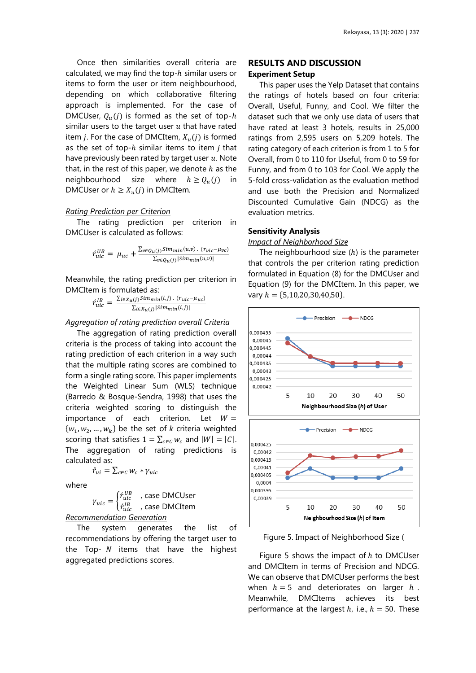Once then similarities overall criteria are calculated, we may find the top- $h$  similar users or items to form the user or item neighbourhood, depending on which collaborative filtering approach is implemented. For the case of DMCUser,  $Q_n(i)$  is formed as the set of top- $h$ similar users to the target user  $u$  that have rated item *i*. For the case of DMCItem,  $X_u(j)$  is formed as the set of top- $h$  similar items to item  $i$  that have previously been rated by target user  $u$ . Note that, in the rest of this paper, we denote  $h$  as the neighbourhood size where  $h \ge Q_u(i)$  in DMCUser or  $h \geq X_u(j)$  in DMCItem.

#### *Rating Prediction per Criterion*

The rating prediction per criterion in DMCUser is calculated as follows:

$$
\acute{r}_{uic}^{UB} = \mu_{uc} + \frac{\Sigma_{v \in Q_u(j)} sim_{min}(u,v) \cdot (r_{vic} - \mu_{vc})}{\Sigma_{v \in Q_u(j)} |sim_{min}(u,v)|}
$$

Meanwhile, the rating prediction per criterion in DMCItem is formulated as:

> $\acute{\tau}_{uic}^{IB} = \frac{\Sigma_{i \in X_u(j)} Sim_{min}(i,j) \cdot (r_{uic} - \mu_{uc})}{\Sigma_{i \in X_u(j)} [Sim_{min}(i,j)]}$  $\Sigma_{i \in X_u(j)}$ |Si $m_{min}(i,j)$ |

*Aggregation of rating prediction overall Criteria*

The aggregation of rating prediction overall criteria is the process of taking into account the rating prediction of each criterion in a way such that the multiple rating scores are combined to form a single rating score. This paper implements the Weighted Linear Sum (WLS) technique (Barredo & Bosque-Sendra, 1998) that uses the criteria weighted scoring to distinguish the importance of each criterion. Let  $W =$  ${w_1, w_2, ..., w_k}$  be the set of *k* criteria weighted scoring that satisfies  $1 = \sum_{c \in C} w_c$  and  $|W| = |C|$ . The aggregation of rating predictions is calculated as:

$$
\hat{r}_{ui} = \sum_{c \in C} w_c * \gamma_{ui}
$$

where

 $\gamma_{uic} = \begin{cases} \acute{\tau}_{uic}^{UB} & \text{, case DMCUser} \\ \dot{\tau}_{dB}^{LB} & \text{, case DMCItem} \end{cases}$  $\acute{r}^{IB}_{uic}$  , case DMCItem

*Recommendation Generation*

The system generates the list of recommendations by offering the target user to the Top-  $N$  items that have the highest aggregated predictions scores.

#### **RESULTS AND DISCUSSION**

#### **Experiment Setup**

This paper uses the Yelp Dataset that contains the ratings of hotels based on four criteria: Overall, Useful, Funny, and Cool. We filter the dataset such that we only use data of users that have rated at least 3 hotels, results in 25,000 ratings from 2,595 users on 5,209 hotels. The rating category of each criterion is from 1 to 5 for Overall, from 0 to 110 for Useful, from 0 to 59 for Funny, and from 0 to 103 for Cool. We apply the 5-fold cross-validation as the evaluation method and use both the Precision and Normalized Discounted Cumulative Gain (NDCG) as the evaluation metrics.

#### **Sensitivity Analysis**

#### *Impact of Neighborhood Size*

The neighbourhood size  $(h)$  is the parameter that controls the per criterion rating prediction formulated in Equation (8) for the DMCUser and Equation (9) for the DMCItem. In this paper, we vary  $h = \{5, 10, 20, 30, 40, 50\}.$ 



<span id="page-3-0"></span>Figure 5. Impact of Neighborhood Size (

[Figure 5](#page-3-0) shows the impact of  $h$  to DMCUser and DMCItem in terms of Precision and NDCG. We can observe that DMCUser performs the best when  $h = 5$  and deteriorates on larger  $h$ . Meanwhile, DMCItems achieves its best performance at the largest  $h_i$ , i.e.,  $h = 50$ . These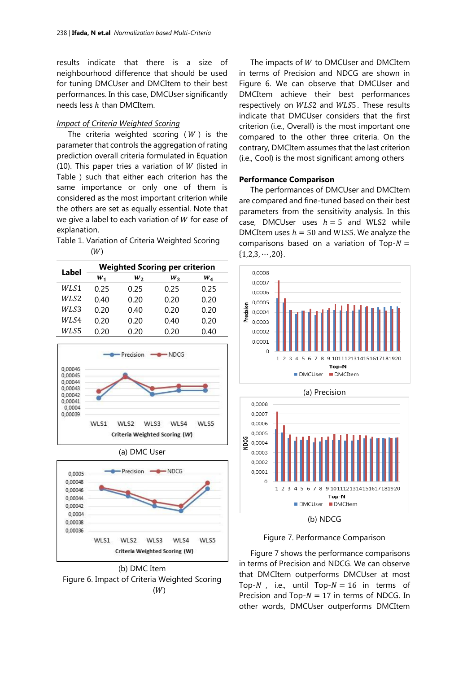results indicate that there is a size of neighbourhood difference that should be used for tuning DMCUser and DMCItem to their best performances. In this case, DMCUser significantly needs less  $h$  than DMCItem.

### *Impact of Criteria Weighted Scoring*

The criteria weighted scoring  $(W)$  is the parameter that controls the aggregation of rating prediction overall criteria formulated in Equation (10). This paper tries a variation of  $W$  (listed in [Table \)](#page-4-0) such that either each criterion has the same importance or only one of them is considered as the most important criterion while the others are set as equally essential. Note that we give a label to each variation of  $W$  for ease of explanation.

<span id="page-4-0"></span>Table 1. Variation of Criteria Weighted Scoring  $(W)$ 

| Label | <b>Weighted Scoring per criterion</b> |       |                |      |
|-------|---------------------------------------|-------|----------------|------|
|       | $W_1$                                 | $W_2$ | W <sub>3</sub> | W4   |
| WLS1  | 0.25                                  | 0.25  | 0.25           | 0.25 |
| WLS2  | 0.40                                  | 0.20  | 0.20           | 0.20 |
| WLS3  | 0.20                                  | 0.40  | 0.20           | 0.20 |
| WLS4  | 0.20                                  | 0.20  | 0.40           | 0.20 |
| WLS5  | 0.20                                  | 0.20  | 0.20           | 0.40 |







<span id="page-4-1"></span>(b) DMC Item Figure 6. Impact of Criteria Weighted Scoring  $(W)$ 

The impacts of  $W$  to DMCUser and DMCItem in terms of Precision and NDCG are shown in [Figure 6.](#page-4-1) We can observe that DMCUser and DMCItem achieve their best performances respectively on WLS2 and WLS5. These results indicate that DMCUser considers that the first criterion (i.e., Overall) is the most important one compared to the other three criteria. On the contrary, DMCItem assumes that the last criterion (i.e., Cool) is the most significant among others

### **Performance Comparison**

The performances of DMCUser and DMCItem are compared and fine-tuned based on their best parameters from the sensitivity analysis. In this case, DMCUser uses  $h = 5$  and WLS2 while DMCItem uses  $h = 50$  and WLS5. We analyze the comparisons based on a variation of  $Top-N =$  ${1,2,3,\dots,20}.$ 









<span id="page-4-2"></span>[Figure 7](#page-4-2) shows the performance comparisons in terms of Precision and NDCG. We can observe that DMCItem outperforms DMCUser at most Top-N, i.e., until Top- $N = 16$  in terms of Precision and Top- $N = 17$  in terms of NDCG. In other words, DMCUser outperforms DMCItem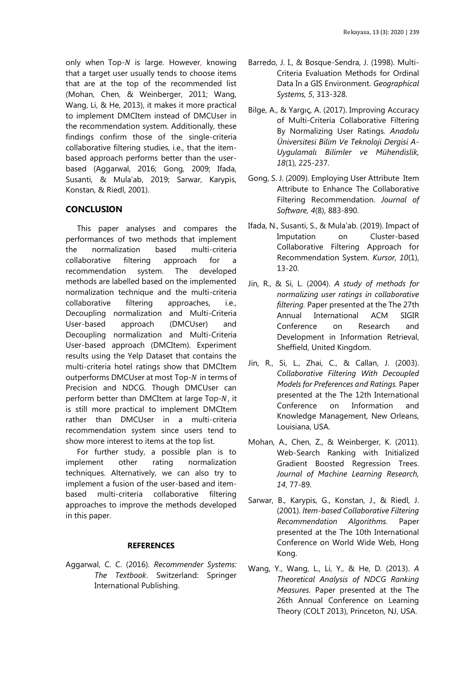only when Top- $N$  is large. However, knowing that a target user usually tends to choose items that are at the top of the recommended list (Mohan, Chen, & Weinberger, 2011; Wang, Wang, Li, & He, 2013), it makes it more practical to implement DMCItem instead of DMCUser in the recommendation system. Additionally, these findings confirm those of the single-criteria collaborative filtering studies, i.e., that the itembased approach performs better than the userbased (Aggarwal, 2016; Gong, 2009; Ifada, Susanti, & Mula'ab, 2019; Sarwar, Karypis, Konstan, & Riedl, 2001).

## **CONCLUSION**

This paper analyses and compares the performances of two methods that implement the normalization based multi-criteria collaborative filtering approach for a recommendation system. The developed methods are labelled based on the implemented normalization technique and the multi-criteria collaborative filtering approaches, i.e., Decoupling normalization and Multi-Criteria User-based approach (DMCUser) and Decoupling normalization and Multi-Criteria User-based approach (DMCItem). Experiment results using the Yelp Dataset that contains the multi-criteria hotel ratings show that DMCItem outperforms DMCUser at most Top-N in terms of Precision and NDCG. Though DMCUser can perform better than DMCItem at large Top- $N$ , it is still more practical to implement DMCItem rather than DMCUser in a multi-criteria recommendation system since users tend to show more interest to items at the top list.

For further study, a possible plan is to implement other rating normalization techniques. Alternatively, we can also try to implement a fusion of the user-based and itembased multi-criteria collaborative filtering approaches to improve the methods developed in this paper.

## **REFERENCES**

Aggarwal, C. C. (2016). *Recommender Systems: The Textbook*. Switzerland: Springer International Publishing.

- Barredo, J. I., & Bosque-Sendra, J. (1998). Multi-Criteria Evaluation Methods for Ordinal Data In a GIS Environment. *Geographical Systems, 5*, 313-328.
- Bilge, A., & Yargıç, A. (2017). Improving Accuracy of Multi-Criteria Collaborative Filtering By Normalizing User Ratings. *Anadolu Üniversitesi Bilim Ve Teknoloji Dergisi A-Uygulamalı Bilimler ve Mühendislik, 18*(1), 225-237.
- Gong, S. J. (2009). Employing User Attribute Item Attribute to Enhance The Collaborative Filtering Recommendation. *Journal of Software, 4*(8), 883-890.
- Ifada, N., Susanti, S., & Mula'ab. (2019). Impact of Imputation on Cluster-based Collaborative Filtering Approach for Recommendation System. *Kursor, 10*(1), 13-20.
- Jin, R., & Si, L. (2004). *A study of methods for normalizing user ratings in collaborative filtering.* Paper presented at the The 27th Annual International ACM SIGIR Conference on Research and Development in Information Retrieval, Sheffield, United Kingdom.
- Jin, R., Si, L., Zhai, C., & Callan, J. (2003). *Collaborative Filtering With Decoupled Models for Preferences and Ratings.* Paper presented at the The 12th International Conference on Information and Knowledge Management, New Orleans, Louisiana, USA.
- Mohan, A., Chen, Z., & Weinberger, K. (2011). Web-Search Ranking with Initialized Gradient Boosted Regression Trees. *Journal of Machine Learning Research, 14*, 77-89.
- Sarwar, B., Karypis, G., Konstan, J., & Riedl, J. (2001). *Item-based Collaborative Filtering Recommendation Algorithms.* Paper presented at the The 10th International Conference on World Wide Web, Hong Kong.
- Wang, Y., Wang, L., Li, Y., & He, D. (2013). *A Theoretical Analysis of NDCG Ranking Measures.* Paper presented at the The 26th Annual Conference on Learning Theory (COLT 2013), Princeton, NJ, USA.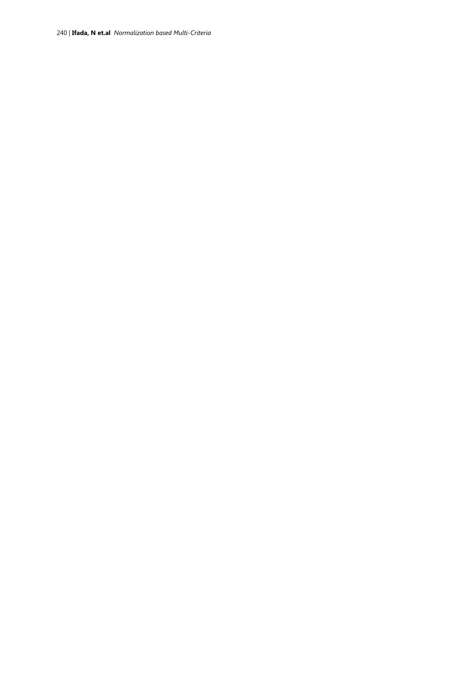| **Ifada, N et.al** *Normalization based Multi-Criteria*